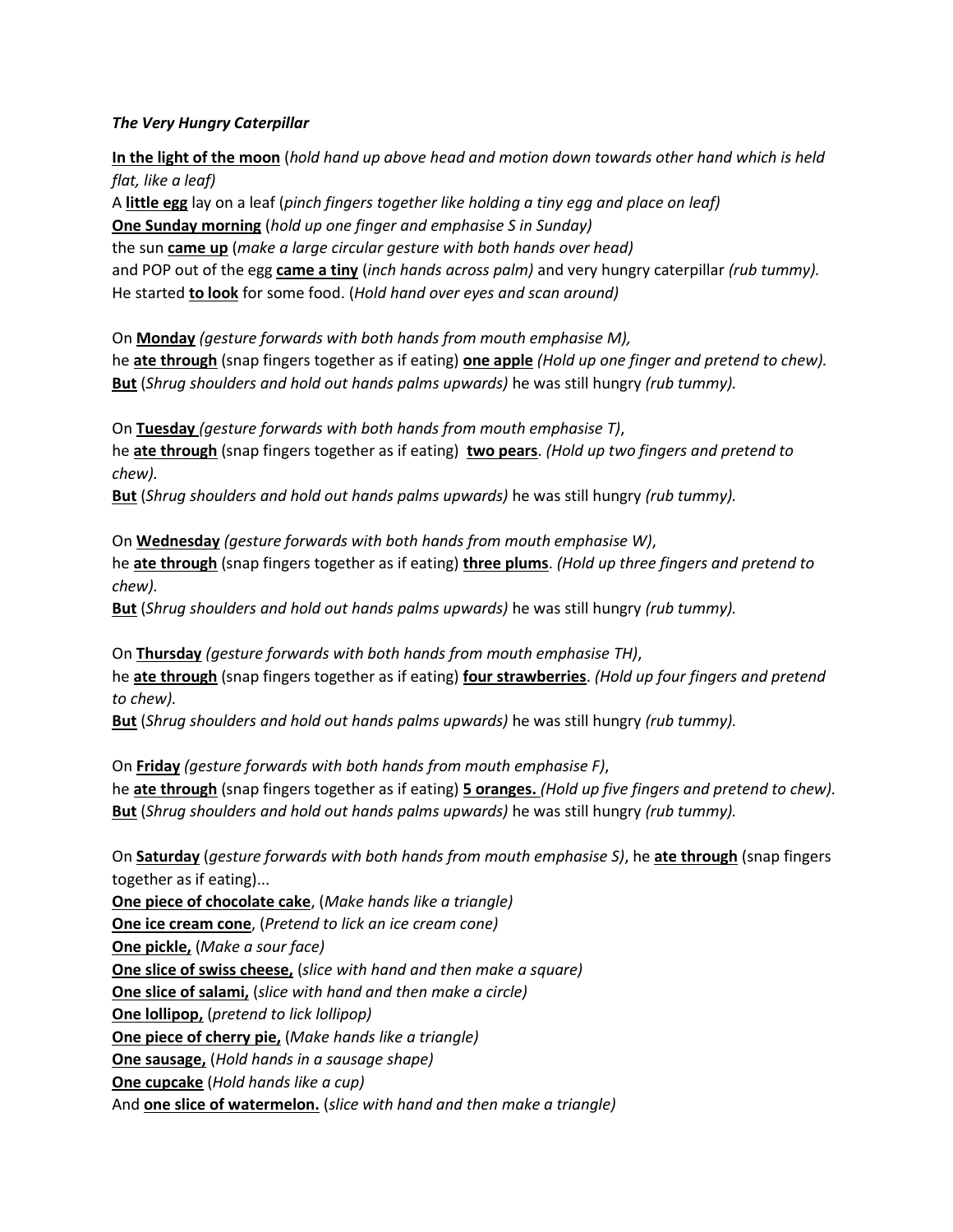## *The Very Hungry Caterpillar*

**In the light of the moon** (*hold hand up above head and motion down towards other hand which is held flat, like a leaf)* A **little egg** lay on a leaf (*pinch fingers together like holding a tiny egg and place on leaf)* **One Sunday morning** (*hold up one finger and emphasise S in Sunday)* the sun **came up** (*make a large circular gesture with both hands over head)*  and POP out of the egg **came a tiny** (*inch hands across palm)* and very hungry caterpillar *(rub tummy).* He started **to look** for some food. (*Hold hand over eyes and scan around)*

On **Monday** *(gesture forwards with both hands from mouth emphasise M),* he **ate through** (snap fingers together as if eating) **one apple** *(Hold up one finger and pretend to chew).* **But** (*Shrug shoulders and hold out hands palms upwards)* he was still hungry *(rub tummy).*

On **Tuesday** *(gesture forwards with both hands from mouth emphasise T)*, he **ate through** (snap fingers together as if eating) **two pears**. *(Hold up two fingers and pretend to chew).*

**But** (*Shrug shoulders and hold out hands palms upwards)* he was still hungry *(rub tummy).*

On **Wednesday** *(gesture forwards with both hands from mouth emphasise W)*, he **ate through** (snap fingers together as if eating) **three plums**. *(Hold up three fingers and pretend to chew).*

**But** (*Shrug shoulders and hold out hands palms upwards)* he was still hungry *(rub tummy).*

On **Thursday** *(gesture forwards with both hands from mouth emphasise TH)*, he **ate through** (snap fingers together as if eating) **four strawberries**. *(Hold up four fingers and pretend to chew).*

**But** (*Shrug shoulders and hold out hands palms upwards)* he was still hungry *(rub tummy).*

On **Friday** *(gesture forwards with both hands from mouth emphasise F)*, he **ate through** (snap fingers together as if eating) **5 oranges.** *(Hold up five fingers and pretend to chew).* **But** (*Shrug shoulders and hold out hands palms upwards)* he was still hungry *(rub tummy).*

On **Saturday** (*gesture forwards with both hands from mouth emphasise S)*, he **ate through** (snap fingers together as if eating)...

**One piece of chocolate cake**, (*Make hands like a triangle)* **One ice cream cone**, (*Pretend to lick an ice cream cone)* **One pickle,** (*Make a sour face)* **One slice of swiss cheese,** (*slice with hand and then make a square)* **One slice of salami,** (*slice with hand and then make a circle)* **One lollipop,** (*pretend to lick lollipop)* **One piece of cherry pie,** (*Make hands like a triangle)* **One sausage,** (*Hold hands in a sausage shape)* **One cupcake** (*Hold hands like a cup)* And **one slice of watermelon.** (*slice with hand and then make a triangle)*